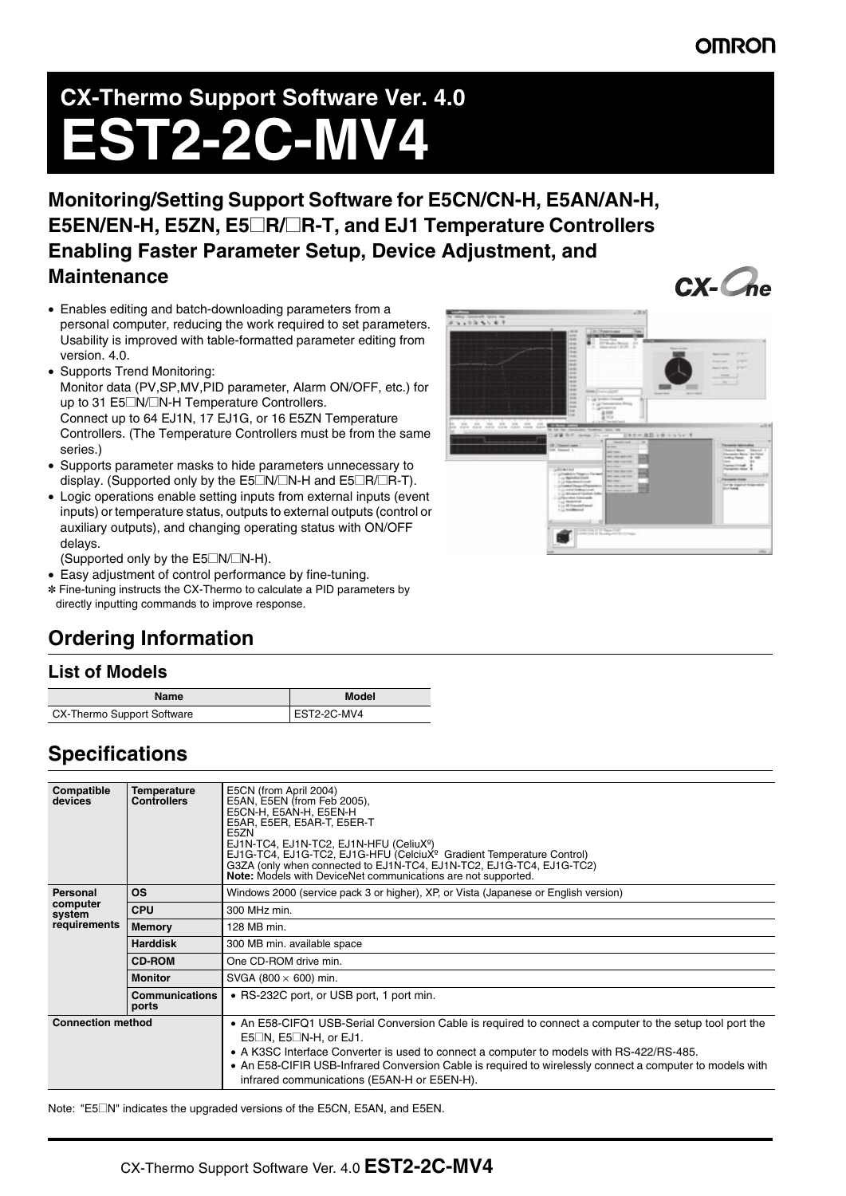### **OMROI**

# **CX-Thermo Support Software Ver. 4.0 EST2-2C-MV4**

**Monitoring/Setting Support Software for E5CN/CN-H, E5AN/AN-H, E5EN/EN-H, E5ZN, E5**@**R/**@**R-T, and EJ1 Temperature Controllers Enabling Faster Parameter Setup, Device Adjustment, and Maintenance**

- Enables editing and batch-downloading parameters from a personal computer, reducing the work required to set parameters. Usability is improved with table-formatted parameter editing from version. 4.0.
- Supports Trend Monitoring: Monitor data (PV,SP,MV,PID parameter, Alarm ON/OFF, etc.) for up to 31 E5□N/□N-H Temperature Controllers. Connect up to 64 EJ1N, 17 EJ1G, or 16 E5ZN Temperature Controllers. (The Temperature Controllers must be from the same series.)
- Supports parameter masks to hide parameters unnecessary to display. (Supported only by the E5 $\Box N/\Box N$ -H and E5 $\Box R/\Box R$ -T).
- Logic operations enable setting inputs from external inputs (event inputs) or temperature status, outputs to external outputs (control or auxiliary outputs), and changing operating status with ON/OFF delays.

(Supported only by the  $E5\square N/\square N$ -H).

- Easy adjustment of control performance by fine-tuning.
- ✽ Fine-tuning instructs the CX-Thermo to calculate a PID parameters by directly inputting commands to improve response.



#### **List of Models**

| Name                       | Model       |
|----------------------------|-------------|
| CX-Thermo Support Software | EST2-2C-MV4 |

## **Specifications**

| Compatible<br>devices                          | <b>Temperature</b><br><b>Controllers</b> | E5CN (from April 2004)<br>E5AN, E5EN (from Feb 2005),<br>E5CN-H. E5AN-H. E5EN-H<br>E5AR, E5ER, E5AR-T, E5ER-T<br>E5ZN<br>EJ1N-TC4, EJ1N-TC2, EJ1N-HFU (CeliuXº)<br>EJ1G-TC4, EJ1G-TC2, EJ1G-HFU (CelciuX <sup>º</sup> Gradient Temperature Control)<br>G3ZA (only when connected to EJ1N-TC4, EJ1N-TC2, EJ1G-TC4, EJ1G-TC2)<br>Note: Models with DeviceNet communications are not supported.                |
|------------------------------------------------|------------------------------------------|-------------------------------------------------------------------------------------------------------------------------------------------------------------------------------------------------------------------------------------------------------------------------------------------------------------------------------------------------------------------------------------------------------------|
| Personal<br>computer<br>system<br>requirements | <b>OS</b>                                | Windows 2000 (service pack 3 or higher), XP, or Vista (Japanese or English version)                                                                                                                                                                                                                                                                                                                         |
|                                                | <b>CPU</b>                               | 300 MHz min.                                                                                                                                                                                                                                                                                                                                                                                                |
|                                                | <b>Memory</b>                            | 128 MB min.                                                                                                                                                                                                                                                                                                                                                                                                 |
|                                                | <b>Harddisk</b>                          | 300 MB min. available space                                                                                                                                                                                                                                                                                                                                                                                 |
|                                                | <b>CD-ROM</b>                            | One CD-ROM drive min.                                                                                                                                                                                                                                                                                                                                                                                       |
|                                                | <b>Monitor</b>                           | SVGA (800 $\times$ 600) min.                                                                                                                                                                                                                                                                                                                                                                                |
|                                                | <b>Communications</b><br>ports           | • RS-232C port, or USB port, 1 port min.                                                                                                                                                                                                                                                                                                                                                                    |
| <b>Connection method</b>                       |                                          | • An E58-CIFQ1 USB-Serial Conversion Cable is required to connect a computer to the setup tool port the<br>$E5\square N$ , $E5\square N$ -H, or EJ1.<br>• A K3SC Interface Converter is used to connect a computer to models with RS-422/RS-485.<br>• An E58-CIFIR USB-Infrared Conversion Cable is required to wirelessly connect a computer to models with<br>infrared communications (E5AN-H or E5EN-H). |

Note: "E5@N" indicates the upgraded versions of the E5CN, E5AN, and E5EN.